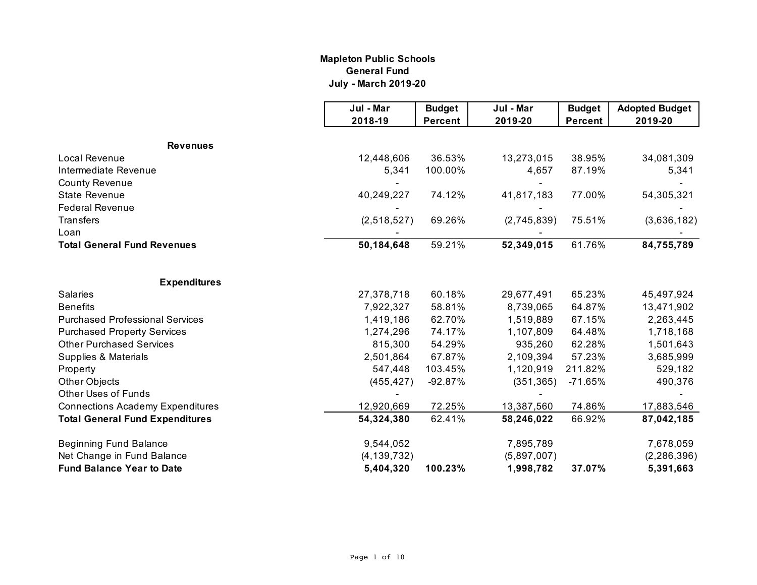#### **Mapleton Public Schools General Fund July - March 2019-20**

|                                         | Jul - Mar     | <b>Budget</b>  | Jul - Mar   | <b>Budget</b>  | <b>Adopted Budget</b> |
|-----------------------------------------|---------------|----------------|-------------|----------------|-----------------------|
|                                         | 2018-19       | <b>Percent</b> | 2019-20     | <b>Percent</b> | 2019-20               |
|                                         |               |                |             |                |                       |
| <b>Revenues</b><br>Local Revenue        |               |                |             | 38.95%         |                       |
| Intermediate Revenue                    | 12,448,606    | 36.53%         | 13,273,015  |                | 34,081,309            |
|                                         | 5,341         | 100.00%        | 4,657       | 87.19%         | 5,341                 |
| <b>County Revenue</b>                   |               |                |             |                |                       |
| <b>State Revenue</b>                    | 40,249,227    | 74.12%         | 41,817,183  | 77.00%         | 54,305,321            |
| <b>Federal Revenue</b>                  |               |                |             |                |                       |
| <b>Transfers</b>                        | (2,518,527)   | 69.26%         | (2,745,839) | 75.51%         | (3,636,182)           |
| Loan                                    |               |                |             |                |                       |
| <b>Total General Fund Revenues</b>      | 50,184,648    | 59.21%         | 52,349,015  | 61.76%         | 84,755,789            |
| <b>Expenditures</b>                     |               |                |             |                |                       |
| <b>Salaries</b>                         | 27,378,718    | 60.18%         | 29,677,491  | 65.23%         | 45,497,924            |
| <b>Benefits</b>                         | 7,922,327     | 58.81%         | 8,739,065   | 64.87%         | 13,471,902            |
| <b>Purchased Professional Services</b>  | 1,419,186     | 62.70%         | 1,519,889   | 67.15%         | 2,263,445             |
| <b>Purchased Property Services</b>      | 1,274,296     | 74.17%         | 1,107,809   | 64.48%         | 1,718,168             |
| <b>Other Purchased Services</b>         | 815,300       | 54.29%         | 935,260     | 62.28%         | 1,501,643             |
| Supplies & Materials                    | 2,501,864     | 67.87%         | 2,109,394   | 57.23%         | 3,685,999             |
| Property                                | 547,448       | 103.45%        | 1,120,919   | 211.82%        | 529,182               |
| Other Objects                           | (455, 427)    | $-92.87%$      | (351, 365)  | $-71.65%$      | 490,376               |
| <b>Other Uses of Funds</b>              |               |                |             |                |                       |
| <b>Connections Academy Expenditures</b> | 12,920,669    | 72.25%         | 13,387,560  | 74.86%         | 17,883,546            |
| <b>Total General Fund Expenditures</b>  | 54,324,380    | 62.41%         | 58,246,022  | 66.92%         | 87,042,185            |
| <b>Beginning Fund Balance</b>           | 9,544,052     |                | 7,895,789   |                | 7,678,059             |
| Net Change in Fund Balance              | (4, 139, 732) |                | (5,897,007) |                | (2, 286, 396)         |
| <b>Fund Balance Year to Date</b>        | 5,404,320     | 100.23%        | 1,998,782   | 37.07%         | 5,391,663             |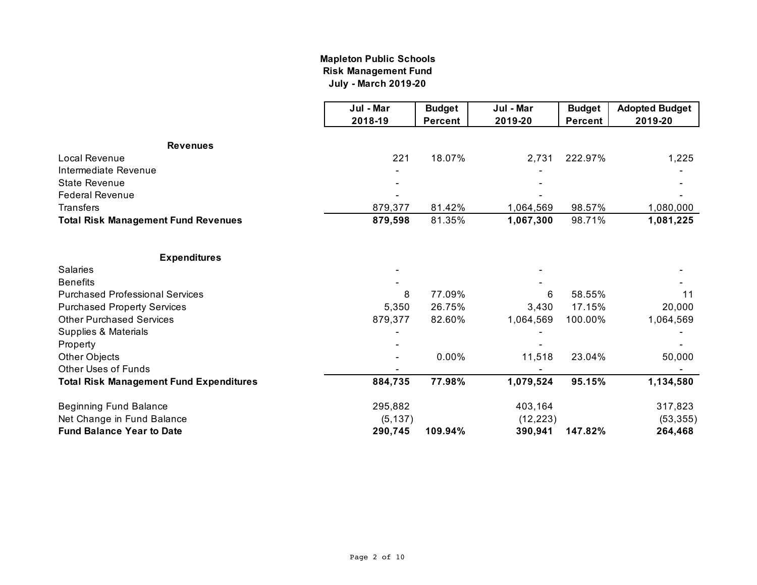## **July - March 2019-20 Mapleton Public Schools Risk Management Fund**

|                                                | Jul - Mar | <b>Budget</b>  | Jul - Mar | <b>Budget</b>  | <b>Adopted Budget</b> |
|------------------------------------------------|-----------|----------------|-----------|----------------|-----------------------|
|                                                | 2018-19   | <b>Percent</b> | 2019-20   | <b>Percent</b> | 2019-20               |
| <b>Revenues</b>                                |           |                |           |                |                       |
| Local Revenue                                  | 221       | 18.07%         | 2,731     | 222.97%        | 1,225                 |
| Intermediate Revenue                           |           |                |           |                |                       |
| <b>State Revenue</b>                           |           |                |           |                |                       |
| <b>Federal Revenue</b>                         |           |                |           |                |                       |
| <b>Transfers</b>                               | 879,377   | 81.42%         | 1,064,569 | 98.57%         | 1,080,000             |
| <b>Total Risk Management Fund Revenues</b>     | 879,598   | 81.35%         | 1,067,300 | 98.71%         | 1,081,225             |
| <b>Expenditures</b>                            |           |                |           |                |                       |
| <b>Salaries</b>                                |           |                |           |                |                       |
| <b>Benefits</b>                                |           |                |           |                |                       |
| <b>Purchased Professional Services</b>         | 8         | 77.09%         | 6         | 58.55%         | 11                    |
| <b>Purchased Property Services</b>             | 5,350     | 26.75%         | 3,430     | 17.15%         | 20,000                |
| <b>Other Purchased Services</b>                | 879,377   | 82.60%         | 1,064,569 | 100.00%        | 1,064,569             |
| Supplies & Materials                           |           |                |           |                |                       |
| Property                                       |           |                |           |                |                       |
| Other Objects                                  |           | 0.00%          | 11,518    | 23.04%         | 50,000                |
| <b>Other Uses of Funds</b>                     |           |                |           |                |                       |
| <b>Total Risk Management Fund Expenditures</b> | 884,735   | 77.98%         | 1,079,524 | 95.15%         | 1,134,580             |
| <b>Beginning Fund Balance</b>                  | 295,882   |                | 403,164   |                | 317,823               |
| Net Change in Fund Balance                     | (5, 137)  |                | (12, 223) |                | (53, 355)             |
| <b>Fund Balance Year to Date</b>               | 290,745   | 109.94%        | 390,941   | 147.82%        | 264,468               |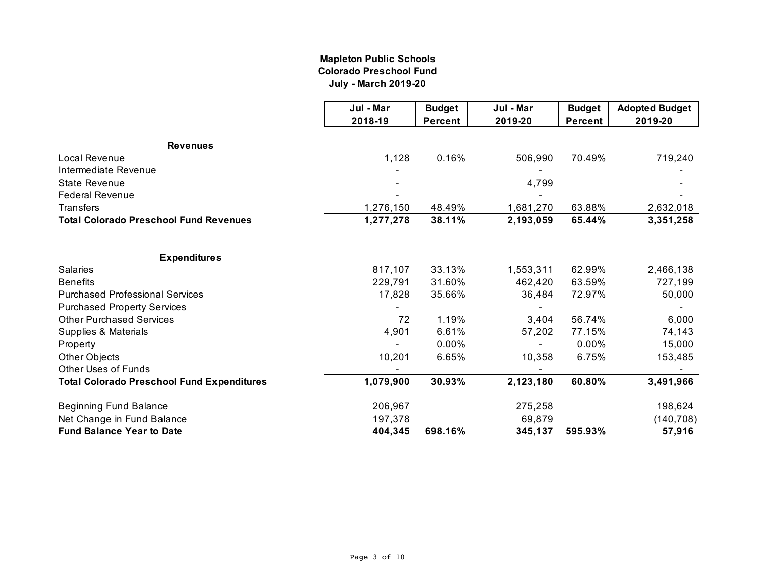## **Mapleton Public Schools Colorado Preschool Fund July - March 2019-20**

|                                                   | Jul - Mar | <b>Budget</b>  | Jul - Mar | <b>Budget</b>  | <b>Adopted Budget</b> |
|---------------------------------------------------|-----------|----------------|-----------|----------------|-----------------------|
|                                                   | 2018-19   | <b>Percent</b> | 2019-20   | <b>Percent</b> | 2019-20               |
| <b>Revenues</b>                                   |           |                |           |                |                       |
| Local Revenue                                     | 1,128     | 0.16%          | 506,990   | 70.49%         | 719,240               |
| Intermediate Revenue                              |           |                |           |                |                       |
| <b>State Revenue</b>                              |           |                | 4,799     |                |                       |
| <b>Federal Revenue</b>                            |           |                |           |                |                       |
| Transfers                                         | 1,276,150 | 48.49%         | 1,681,270 | 63.88%         | 2,632,018             |
| <b>Total Colorado Preschool Fund Revenues</b>     | 1,277,278 | 38.11%         | 2,193,059 | 65.44%         | 3,351,258             |
| <b>Expenditures</b>                               |           |                |           |                |                       |
| <b>Salaries</b>                                   | 817,107   | 33.13%         | 1,553,311 | 62.99%         | 2,466,138             |
| <b>Benefits</b>                                   | 229,791   | 31.60%         | 462,420   | 63.59%         | 727,199               |
| <b>Purchased Professional Services</b>            | 17,828    | 35.66%         | 36,484    | 72.97%         | 50,000                |
| <b>Purchased Property Services</b>                |           |                |           |                |                       |
| <b>Other Purchased Services</b>                   | 72        | 1.19%          | 3,404     | 56.74%         | 6,000                 |
| Supplies & Materials                              | 4,901     | 6.61%          | 57,202    | 77.15%         | 74,143                |
| Property                                          |           | 0.00%          |           | 0.00%          | 15,000                |
| Other Objects                                     | 10,201    | 6.65%          | 10,358    | 6.75%          | 153,485               |
| <b>Other Uses of Funds</b>                        |           |                |           |                |                       |
| <b>Total Colorado Preschool Fund Expenditures</b> | 1,079,900 | 30.93%         | 2,123,180 | 60.80%         | 3,491,966             |
| <b>Beginning Fund Balance</b>                     | 206,967   |                | 275,258   |                | 198,624               |
| Net Change in Fund Balance                        | 197,378   |                | 69,879    |                | (140, 708)            |
| <b>Fund Balance Year to Date</b>                  | 404,345   | 698.16%        | 345,137   | 595.93%        | 57,916                |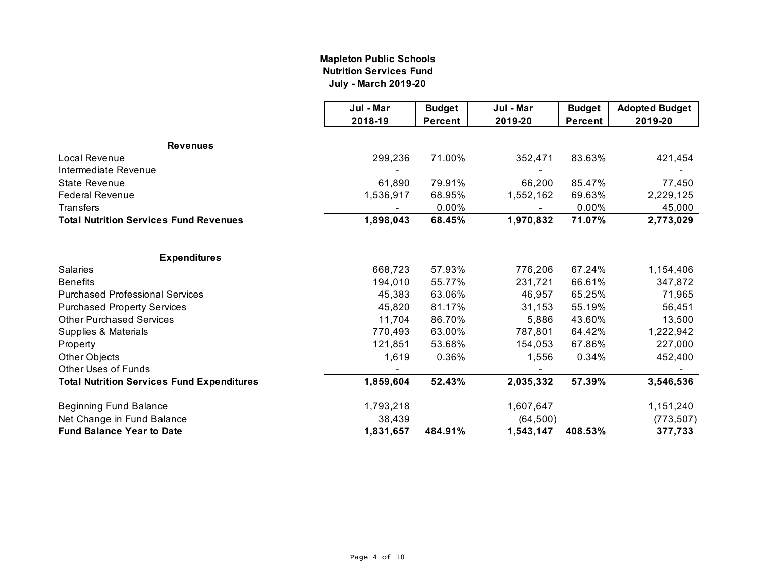#### **Mapleton Public Schools Nutrition Services Fund July - March 2019-20**

|                                                   | Jul - Mar | <b>Budget</b>  | Jul - Mar | <b>Budget</b>  | <b>Adopted Budget</b> |
|---------------------------------------------------|-----------|----------------|-----------|----------------|-----------------------|
|                                                   | 2018-19   | <b>Percent</b> | 2019-20   | <b>Percent</b> | 2019-20               |
| <b>Revenues</b>                                   |           |                |           |                |                       |
| Local Revenue                                     | 299,236   | 71.00%         | 352,471   | 83.63%         | 421,454               |
| Intermediate Revenue                              |           |                |           |                |                       |
| <b>State Revenue</b>                              | 61,890    | 79.91%         | 66,200    | 85.47%         | 77,450                |
| <b>Federal Revenue</b>                            | 1,536,917 | 68.95%         | 1,552,162 | 69.63%         | 2,229,125             |
| <b>Transfers</b>                                  |           | $0.00\%$       |           | 0.00%          | 45,000                |
| <b>Total Nutrition Services Fund Revenues</b>     | 1,898,043 | 68.45%         | 1,970,832 | 71.07%         | 2,773,029             |
| <b>Expenditures</b>                               |           |                |           |                |                       |
| <b>Salaries</b>                                   | 668,723   | 57.93%         | 776,206   | 67.24%         | 1,154,406             |
| <b>Benefits</b>                                   | 194,010   | 55.77%         | 231,721   | 66.61%         | 347,872               |
| <b>Purchased Professional Services</b>            | 45,383    | 63.06%         | 46,957    | 65.25%         | 71,965                |
| <b>Purchased Property Services</b>                | 45,820    | 81.17%         | 31,153    | 55.19%         | 56,451                |
| <b>Other Purchased Services</b>                   | 11,704    | 86.70%         | 5,886     | 43.60%         | 13,500                |
| Supplies & Materials                              | 770,493   | 63.00%         | 787,801   | 64.42%         | 1,222,942             |
| Property                                          | 121,851   | 53.68%         | 154,053   | 67.86%         | 227,000               |
| Other Objects                                     | 1,619     | 0.36%          | 1,556     | 0.34%          | 452,400               |
| <b>Other Uses of Funds</b>                        |           |                |           |                |                       |
| <b>Total Nutrition Services Fund Expenditures</b> | 1,859,604 | 52.43%         | 2,035,332 | 57.39%         | 3,546,536             |
| <b>Beginning Fund Balance</b>                     | 1,793,218 |                | 1,607,647 |                | 1,151,240             |
| Net Change in Fund Balance                        | 38,439    |                | (64, 500) |                | (773, 507)            |
| <b>Fund Balance Year to Date</b>                  | 1,831,657 | 484.91%        | 1,543,147 | 408.53%        | 377,733               |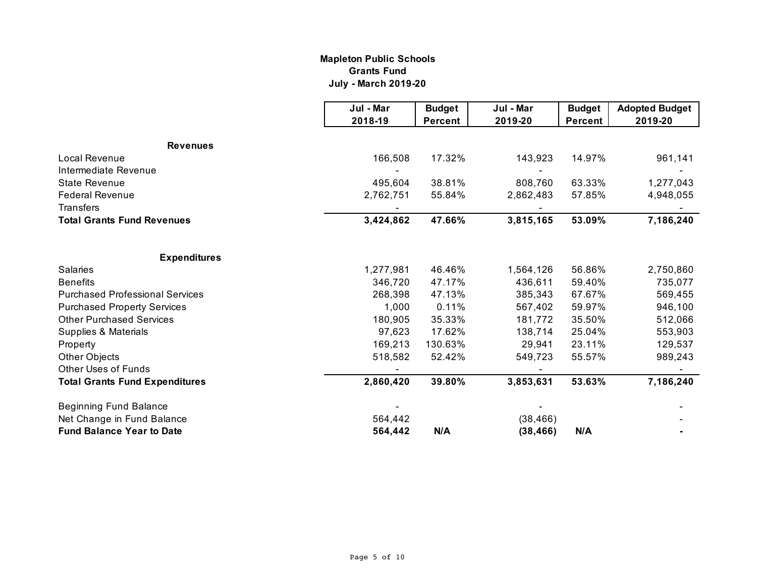#### **Mapleton Public Schools Grants Fund July - March 2019-20**

|                                        | Jul - Mar | <b>Budget</b>  | Jul - Mar | <b>Budget</b>  | <b>Adopted Budget</b> |
|----------------------------------------|-----------|----------------|-----------|----------------|-----------------------|
|                                        | 2018-19   | <b>Percent</b> | 2019-20   | <b>Percent</b> | 2019-20               |
| <b>Revenues</b>                        |           |                |           |                |                       |
| Local Revenue                          | 166,508   | 17.32%         | 143,923   | 14.97%         |                       |
| Intermediate Revenue                   |           |                |           |                | 961,141               |
|                                        |           |                |           |                |                       |
| <b>State Revenue</b>                   | 495,604   | 38.81%         | 808,760   | 63.33%         | 1,277,043             |
| <b>Federal Revenue</b>                 | 2,762,751 | 55.84%         | 2,862,483 | 57.85%         | 4,948,055             |
| <b>Transfers</b>                       |           |                |           |                |                       |
| <b>Total Grants Fund Revenues</b>      | 3,424,862 | 47.66%         | 3,815,165 | 53.09%         | 7,186,240             |
|                                        |           |                |           |                |                       |
| <b>Expenditures</b>                    |           |                |           |                |                       |
| <b>Salaries</b>                        | 1,277,981 | 46.46%         | 1,564,126 | 56.86%         | 2,750,860             |
| <b>Benefits</b>                        | 346,720   | 47.17%         | 436,611   | 59.40%         | 735,077               |
| <b>Purchased Professional Services</b> | 268,398   | 47.13%         | 385,343   | 67.67%         | 569,455               |
| <b>Purchased Property Services</b>     | 1,000     | 0.11%          | 567,402   | 59.97%         | 946,100               |
| <b>Other Purchased Services</b>        | 180,905   | 35.33%         | 181,772   | 35.50%         | 512,066               |
| Supplies & Materials                   | 97,623    | 17.62%         | 138,714   | 25.04%         | 553,903               |
| Property                               | 169,213   | 130.63%        | 29,941    | 23.11%         | 129,537               |
| <b>Other Objects</b>                   | 518,582   | 52.42%         | 549,723   | 55.57%         | 989,243               |
| <b>Other Uses of Funds</b>             |           |                |           |                |                       |
| <b>Total Grants Fund Expenditures</b>  | 2,860,420 | 39.80%         | 3,853,631 | 53.63%         | 7,186,240             |
| <b>Beginning Fund Balance</b>          |           |                |           |                |                       |
| Net Change in Fund Balance             | 564,442   |                | (38, 466) |                |                       |
| <b>Fund Balance Year to Date</b>       | 564,442   | N/A            | (38, 466) | N/A            |                       |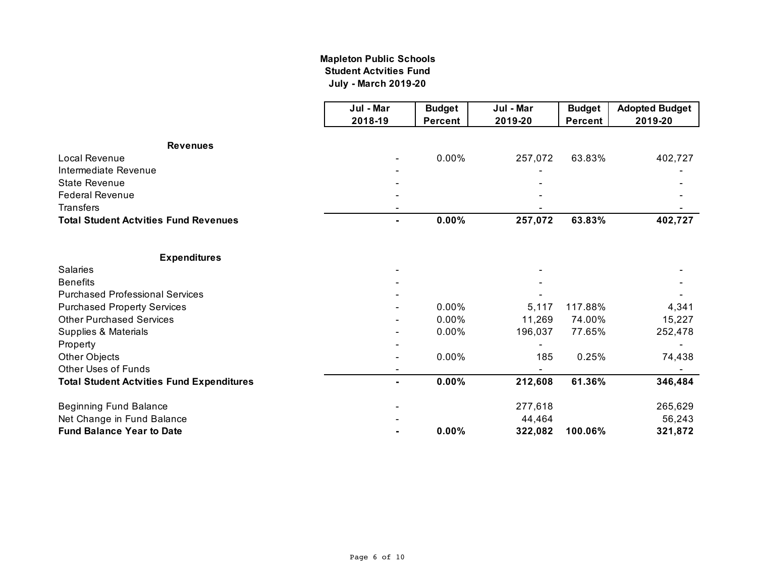## **July - March 2019-20 Mapleton Public Schools Student Actvities Fund**

|                                                  | Jul - Mar      | <b>Budget</b>  | Jul - Mar | <b>Budget</b>  | <b>Adopted Budget</b> |
|--------------------------------------------------|----------------|----------------|-----------|----------------|-----------------------|
|                                                  | 2018-19        | <b>Percent</b> | 2019-20   | <b>Percent</b> | 2019-20               |
| <b>Revenues</b>                                  |                |                |           |                |                       |
| <b>Local Revenue</b>                             |                | 0.00%          | 257,072   | 63.83%         | 402,727               |
| Intermediate Revenue                             |                |                |           |                |                       |
| <b>State Revenue</b>                             |                |                |           |                |                       |
| <b>Federal Revenue</b>                           |                |                |           |                |                       |
| <b>Transfers</b>                                 |                |                |           |                |                       |
| <b>Total Student Actvities Fund Revenues</b>     |                | 0.00%          | 257,072   | 63.83%         | 402,727               |
| <b>Expenditures</b>                              |                |                |           |                |                       |
| <b>Salaries</b>                                  |                |                |           |                |                       |
| <b>Benefits</b>                                  |                |                |           |                |                       |
| <b>Purchased Professional Services</b>           |                |                |           |                |                       |
| <b>Purchased Property Services</b>               |                | 0.00%          | 5,117     | 117.88%        | 4,341                 |
| <b>Other Purchased Services</b>                  |                | 0.00%          | 11,269    | 74.00%         | 15,227                |
| Supplies & Materials                             |                | 0.00%          | 196,037   | 77.65%         | 252,478               |
| Property                                         |                |                |           |                |                       |
| Other Objects                                    |                | 0.00%          | 185       | 0.25%          | 74,438                |
| <b>Other Uses of Funds</b>                       |                |                |           |                |                       |
| <b>Total Student Actvities Fund Expenditures</b> | $\blacksquare$ | 0.00%          | 212,608   | 61.36%         | 346,484               |
| <b>Beginning Fund Balance</b>                    |                |                | 277,618   |                | 265,629               |
| Net Change in Fund Balance                       |                |                | 44,464    |                | 56,243                |
| <b>Fund Balance Year to Date</b>                 |                | 0.00%          | 322,082   | 100.06%        | 321,872               |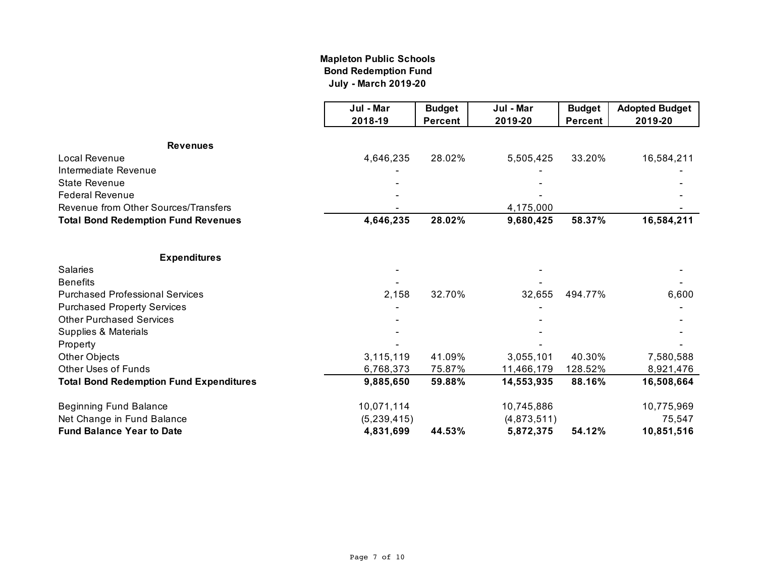## **Mapleton Public Schools Bond Redemption Fund July - March 2019-20**

|                                                | Jul - Mar   | <b>Budget</b>  | Jul - Mar   | <b>Budget</b>  | <b>Adopted Budget</b> |
|------------------------------------------------|-------------|----------------|-------------|----------------|-----------------------|
|                                                | 2018-19     | <b>Percent</b> | 2019-20     | <b>Percent</b> | 2019-20               |
| <b>Revenues</b>                                |             |                |             |                |                       |
| Local Revenue                                  | 4,646,235   | 28.02%         | 5,505,425   | 33.20%         | 16,584,211            |
| Intermediate Revenue                           |             |                |             |                |                       |
| <b>State Revenue</b>                           |             |                |             |                |                       |
| <b>Federal Revenue</b>                         |             |                |             |                |                       |
| Revenue from Other Sources/Transfers           |             |                | 4,175,000   |                |                       |
| <b>Total Bond Redemption Fund Revenues</b>     | 4,646,235   | 28.02%         | 9,680,425   | 58.37%         | 16,584,211            |
| <b>Expenditures</b>                            |             |                |             |                |                       |
| <b>Salaries</b>                                |             |                |             |                |                       |
| <b>Benefits</b>                                |             |                |             |                |                       |
| <b>Purchased Professional Services</b>         | 2,158       | 32.70%         | 32,655      | 494.77%        | 6,600                 |
| <b>Purchased Property Services</b>             |             |                |             |                |                       |
| <b>Other Purchased Services</b>                |             |                |             |                |                       |
| <b>Supplies &amp; Materials</b>                |             |                |             |                |                       |
| Property                                       |             |                |             |                |                       |
| Other Objects                                  | 3,115,119   | 41.09%         | 3,055,101   | 40.30%         | 7,580,588             |
| <b>Other Uses of Funds</b>                     | 6,768,373   | 75.87%         | 11,466,179  | 128.52%        | 8,921,476             |
| <b>Total Bond Redemption Fund Expenditures</b> | 9,885,650   | 59.88%         | 14,553,935  | 88.16%         | 16,508,664            |
| <b>Beginning Fund Balance</b>                  | 10,071,114  |                | 10,745,886  |                | 10,775,969            |
| Net Change in Fund Balance                     | (5,239,415) |                | (4,873,511) |                | 75,547                |
| <b>Fund Balance Year to Date</b>               | 4,831,699   | 44.53%         | 5,872,375   | 54.12%         | 10,851,516            |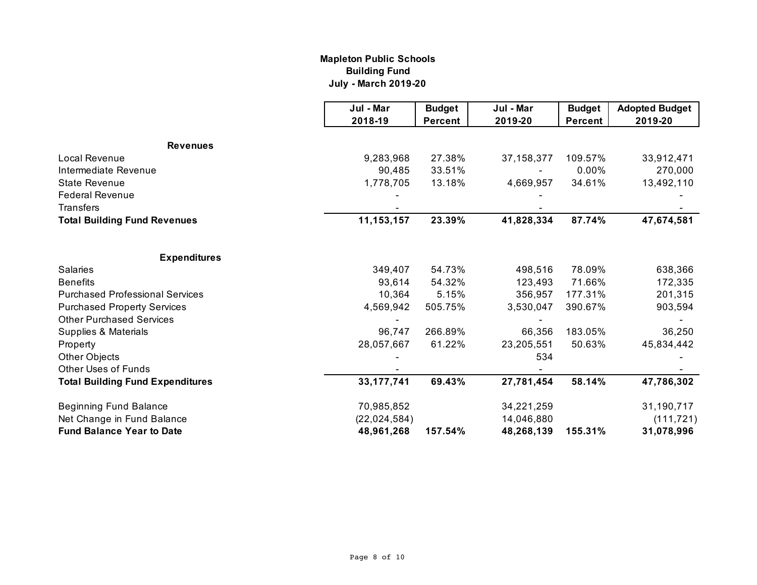## **Mapleton Public Schools Building Fund July - March 2019-20**

|                                                                       | Jul - Mar    | <b>Budget</b>  | Jul - Mar    | <b>Budget</b>  | <b>Adopted Budget</b> |
|-----------------------------------------------------------------------|--------------|----------------|--------------|----------------|-----------------------|
|                                                                       | 2018-19      | <b>Percent</b> | 2019-20      | <b>Percent</b> | 2019-20               |
|                                                                       |              |                |              |                |                       |
| <b>Revenues</b>                                                       |              |                |              |                |                       |
| Local Revenue                                                         | 9,283,968    | 27.38%         | 37, 158, 377 | 109.57%        | 33,912,471            |
| Intermediate Revenue                                                  | 90,485       | 33.51%         |              | 0.00%          | 270,000               |
| <b>State Revenue</b>                                                  | 1,778,705    | 13.18%         | 4,669,957    | 34.61%         | 13,492,110            |
| <b>Federal Revenue</b>                                                |              |                |              |                |                       |
| <b>Transfers</b>                                                      |              |                |              |                |                       |
| <b>Total Building Fund Revenues</b>                                   | 11, 153, 157 | 23.39%         | 41,828,334   | 87.74%         | 47,674,581            |
| <b>Expenditures</b>                                                   |              |                |              |                |                       |
| <b>Salaries</b>                                                       | 349,407      | 54.73%         | 498,516      | 78.09%         | 638,366               |
| <b>Benefits</b>                                                       | 93,614       | 54.32%         | 123,493      | 71.66%         | 172,335               |
| <b>Purchased Professional Services</b>                                | 10,364       | 5.15%          | 356,957      | 177.31%        | 201,315               |
|                                                                       | 4,569,942    | 505.75%        | 3,530,047    | 390.67%        | 903,594               |
| <b>Purchased Property Services</b><br><b>Other Purchased Services</b> |              |                |              |                |                       |
|                                                                       |              | 266.89%        |              | 183.05%        |                       |
| Supplies & Materials                                                  | 96,747       |                | 66,356       |                | 36,250                |
| Property                                                              | 28,057,667   | 61.22%         | 23,205,551   | 50.63%         | 45,834,442            |
| Other Objects                                                         |              |                | 534          |                |                       |
| <b>Other Uses of Funds</b>                                            |              |                |              |                |                       |
| <b>Total Building Fund Expenditures</b>                               | 33, 177, 741 | 69.43%         | 27,781,454   | 58.14%         | 47,786,302            |
| <b>Beginning Fund Balance</b>                                         | 70,985,852   |                | 34,221,259   |                | 31,190,717            |
| Net Change in Fund Balance                                            | (22,024,584) |                | 14,046,880   |                | (111, 721)            |
| <b>Fund Balance Year to Date</b>                                      | 48,961,268   | 157.54%        | 48,268,139   | 155.31%        | 31,078,996            |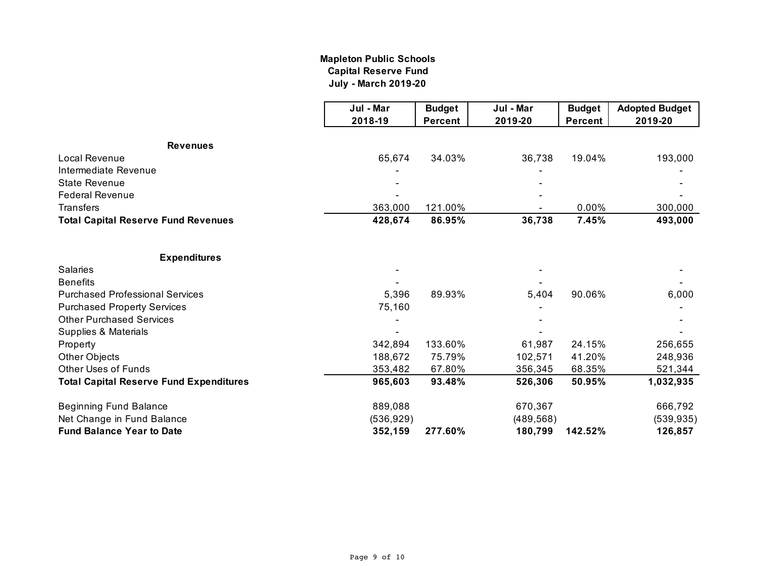# **Mapleton Public Schools Capital Reserve Fund July - March 2019-20**

|                                                | Jul - Mar  | <b>Budget</b>  | Jul - Mar  | <b>Budget</b>  | <b>Adopted Budget</b> |
|------------------------------------------------|------------|----------------|------------|----------------|-----------------------|
|                                                | 2018-19    | <b>Percent</b> | 2019-20    | <b>Percent</b> | 2019-20               |
| <b>Revenues</b>                                |            |                |            |                |                       |
| Local Revenue                                  | 65,674     | 34.03%         | 36,738     | 19.04%         | 193,000               |
| Intermediate Revenue                           |            |                |            |                |                       |
| <b>State Revenue</b>                           |            |                |            |                |                       |
| <b>Federal Revenue</b>                         |            |                |            |                |                       |
| <b>Transfers</b>                               | 363,000    | 121.00%        |            | 0.00%          | 300,000               |
| <b>Total Capital Reserve Fund Revenues</b>     | 428,674    | 86.95%         | 36,738     | 7.45%          | 493,000               |
|                                                |            |                |            |                |                       |
| <b>Expenditures</b>                            |            |                |            |                |                       |
| <b>Salaries</b>                                |            |                |            |                |                       |
| <b>Benefits</b>                                |            |                |            |                |                       |
| <b>Purchased Professional Services</b>         | 5,396      | 89.93%         | 5,404      | 90.06%         | 6,000                 |
| <b>Purchased Property Services</b>             | 75,160     |                |            |                |                       |
| <b>Other Purchased Services</b>                |            |                |            |                |                       |
| Supplies & Materials                           |            |                |            |                |                       |
| Property                                       | 342,894    | 133.60%        | 61,987     | 24.15%         | 256,655               |
| Other Objects                                  | 188,672    | 75.79%         | 102,571    | 41.20%         | 248,936               |
| <b>Other Uses of Funds</b>                     | 353,482    | 67.80%         | 356,345    | 68.35%         | 521,344               |
| <b>Total Capital Reserve Fund Expenditures</b> | 965,603    | 93.48%         | 526,306    | 50.95%         | 1,032,935             |
| <b>Beginning Fund Balance</b>                  | 889,088    |                | 670,367    |                | 666,792               |
| Net Change in Fund Balance                     | (536, 929) |                | (489, 568) |                | (539, 935)            |
| <b>Fund Balance Year to Date</b>               | 352,159    | 277.60%        | 180,799    | 142.52%        | 126,857               |